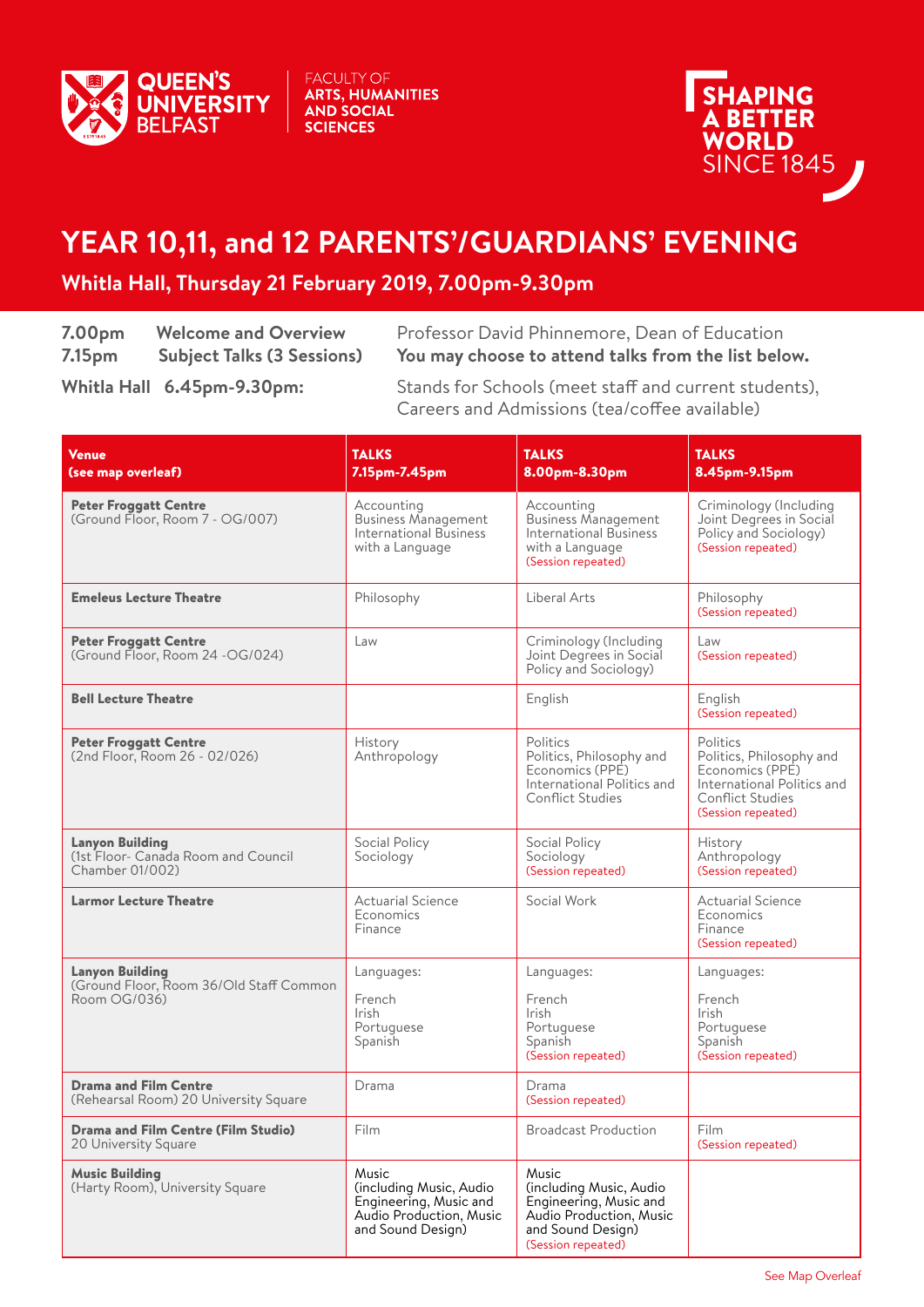

FACULTY OF<br>**ARTS, HUMANITIES<br>AND SOCIAL SCIENCES** 



## **YEAR 10,11, and 12 PARENTS'/GUARDIANS' EVENING**

## **Whitla Hall, Thursday 21 February 2019, 7.00pm-9.30pm**

| 7.00 <sub>pm</sub> | <b>Welcome and Overview</b>       |
|--------------------|-----------------------------------|
| 7.15 <sub>pm</sub> | <b>Subject Talks (3 Sessions)</b> |

Professor David Phinnemore, Dean of Education **7.15pm Subject Talks (3 Sessions) You may choose to attend talks from the list below.**

**Whitla Hall 6.45pm-9.30pm:** Stands for Schools (meet staff and current students), Careers and Admissions (tea/coffee available)

| <b>Venue</b><br>(see map overleaf)                                                | <b>TALKS</b><br>7.15pm-7.45pm                                                                              | <b>TALKS</b><br>8.00pm-8.30pm                                                                                                    | <b>TALKS</b><br>8.45pm-9.15pm                                                                                                          |
|-----------------------------------------------------------------------------------|------------------------------------------------------------------------------------------------------------|----------------------------------------------------------------------------------------------------------------------------------|----------------------------------------------------------------------------------------------------------------------------------------|
| <b>Peter Froggatt Centre</b><br>(Ground Floor, Room 7 - OG/007)                   | Accounting<br><b>Business Management</b><br><b>International Business</b><br>with a Language               | Accounting<br><b>Business Management</b><br>International Business<br>with a Language<br>(Session repeated)                      | Criminology (Including<br>Joint Degrees in Social<br>Policy and Sociology)<br>(Session repeated)                                       |
| <b>Emeleus Lecture Theatre</b>                                                    | Philosophy                                                                                                 | Liberal Arts                                                                                                                     | Philosophy<br>(Session repeated)                                                                                                       |
| <b>Peter Froggatt Centre</b><br>(Ground Floor, Room 24 -OG/024)                   | Law                                                                                                        | Criminology (Including<br>Joint Degrees in Social<br>Policy and Sociology)                                                       | Law<br>(Session repeated)                                                                                                              |
| <b>Bell Lecture Theatre</b>                                                       |                                                                                                            | English                                                                                                                          | English<br>(Session repeated)                                                                                                          |
| <b>Peter Froggatt Centre</b><br>(2nd Floor, Room 26 - 02/026)                     | <b>History</b><br>Anthropology                                                                             | Politics<br>Politics, Philosophy and<br>Economics (PPE)<br>International Politics and<br><b>Conflict Studies</b>                 | Politics<br>Politics, Philosophy and<br>Economics (PPE)<br>International Politics and<br><b>Conflict Studies</b><br>(Session repeated) |
| <b>Lanyon Building</b><br>(1st Floor- Canada Room and Council<br>Chamber 01/002)  | Social Policy<br>Sociology                                                                                 | Social Policy<br>Sociology<br>(Session repeated)                                                                                 | History<br>Anthropology<br>(Session repeated)                                                                                          |
| <b>Larmor Lecture Theatre</b>                                                     | <b>Actuarial Science</b><br>Economics<br>Finance                                                           | Social Work                                                                                                                      | <b>Actuarial Science</b><br>Economics<br>Finance<br>(Session repeated)                                                                 |
| <b>Lanyon Building</b><br>(Ground Floor, Room 36/Old Staff Common<br>Room OG/036) | Languages:<br>French<br><b>Irish</b><br>Portuguese<br>Spanish                                              | Languages:<br>French<br><b>Irish</b><br>Portuguese<br>Spanish<br>(Session repeated)                                              | Languages:<br>French<br><b>Irish</b><br>Portuguese<br>Spanish<br>(Session repeated)                                                    |
| <b>Drama and Film Centre</b><br>(Rehearsal Room) 20 University Square             | Drama                                                                                                      | Drama<br>(Session repeated)                                                                                                      |                                                                                                                                        |
| <b>Drama and Film Centre (Film Studio)</b><br>20 University Square                | Film                                                                                                       | <b>Broadcast Production</b>                                                                                                      | Film<br>(Session repeated)                                                                                                             |
| <b>Music Building</b><br>(Harty Room), University Square                          | Music<br>(including Music, Audio<br>Engineering, Music and<br>Audio Production, Music<br>and Sound Design) | Music<br>(including Music, Audio<br>Engineering, Music and<br>Audio Production, Music<br>and Sound Design)<br>(Session repeated) |                                                                                                                                        |